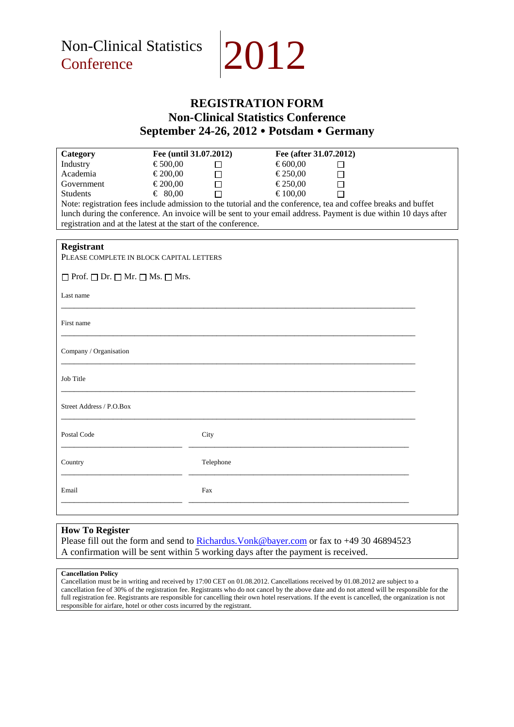



## **REGISTRATION FORM Non-Clinical Statistics Conference September 24-26, 2012 Potsdam Germany**

| Category                                                                                                        | Fee (until 31.07.2012) |           |         | Fee (after 31.07.2012) |  |
|-----------------------------------------------------------------------------------------------------------------|------------------------|-----------|---------|------------------------|--|
| Industry                                                                                                        | €500,00                |           | €600,00 |                        |  |
| Academia                                                                                                        | €200,00                | П         | €250,00 |                        |  |
| Government                                                                                                      | €200,00                |           | €250,00 |                        |  |
| <b>Students</b>                                                                                                 | € 80,00                |           | €100,00 |                        |  |
| Note: registration fees include admission to the tutorial and the conference, tea and coffee breaks and buffet  |                        |           |         |                        |  |
| lunch during the conference. An invoice will be sent to your email address. Payment is due within 10 days after |                        |           |         |                        |  |
| registration and at the latest at the start of the conference.                                                  |                        |           |         |                        |  |
|                                                                                                                 |                        |           |         |                        |  |
| <b>Registrant</b>                                                                                               |                        |           |         |                        |  |
| PLEASE COMPLETE IN BLOCK CAPITAL LETTERS                                                                        |                        |           |         |                        |  |
|                                                                                                                 |                        |           |         |                        |  |
| $\Box$ Prof. $\Box$ Dr. $\Box$ Mr. $\Box$ Ms. $\Box$ Mrs.                                                       |                        |           |         |                        |  |
|                                                                                                                 |                        |           |         |                        |  |
| Last name                                                                                                       |                        |           |         |                        |  |
|                                                                                                                 |                        |           |         |                        |  |
|                                                                                                                 |                        |           |         |                        |  |
| First name                                                                                                      |                        |           |         |                        |  |
|                                                                                                                 |                        |           |         |                        |  |
| Company / Organisation                                                                                          |                        |           |         |                        |  |
|                                                                                                                 |                        |           |         |                        |  |
|                                                                                                                 |                        |           |         |                        |  |
| Job Title                                                                                                       |                        |           |         |                        |  |
|                                                                                                                 |                        |           |         |                        |  |
|                                                                                                                 |                        |           |         |                        |  |
| Street Address / P.O.Box                                                                                        |                        |           |         |                        |  |
|                                                                                                                 |                        |           |         |                        |  |
| Postal Code                                                                                                     |                        | City      |         |                        |  |
|                                                                                                                 |                        |           |         |                        |  |
|                                                                                                                 |                        |           |         |                        |  |
| Country                                                                                                         |                        | Telephone |         |                        |  |
|                                                                                                                 |                        |           |         |                        |  |
|                                                                                                                 |                        |           |         |                        |  |
| Email                                                                                                           |                        | Fax       |         |                        |  |
|                                                                                                                 |                        |           |         |                        |  |
|                                                                                                                 |                        |           |         |                        |  |

## **How To Register**

Please fill out the form and send to **Richardus. Vonk@bayer.com** or fax to +49 30 46894523 A confirmation will be sent within 5 working days after the payment is received.

### **Cancellation Policy**

Cancellation must be in writing and received by 17:00 CET on 01.08.2012. Cancellations received by 01.08.2012 are subject to a cancellation fee of 30% of the registration fee. Registrants who do not cancel by the above date and do not attend will be responsible for the full registration fee. Registrants are responsible for cancelling their own hotel reservations. If the event is cancelled, the organization is not responsible for airfare, hotel or other costs incurred by the registrant.